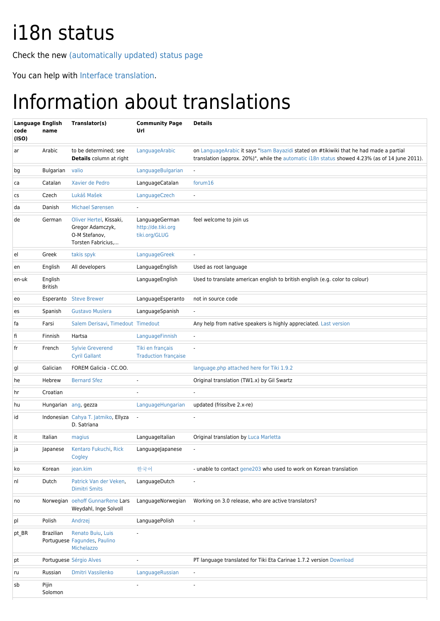## i18n status

Check the new [\(automatically updated\) status page](http://i18n.tiki.org/Status)

You can help with [Interface translation.](http://doc.tiki.org/Interface%20translation)

## Information about translations

| <b>Language English</b><br>code<br>(ISO) | name                      | Translator(s)                                                                      | <b>Community Page</b><br>Url                          | <b>Details</b>                                                                                                                                                                            |
|------------------------------------------|---------------------------|------------------------------------------------------------------------------------|-------------------------------------------------------|-------------------------------------------------------------------------------------------------------------------------------------------------------------------------------------------|
| ar                                       | Arabic                    | to be determined; see<br><b>Details</b> column at right                            | LanguageArabic                                        | on LanguageArabic it says "Isam Bayazidi stated on #tikiwiki that he had made a partial<br>translation (approx. 20%)", while the automatic i18n status showed 4.23% (as of 14 June 2011). |
| bg                                       | Bulgarian                 | valio                                                                              | LanguageBulgarian                                     |                                                                                                                                                                                           |
| ca                                       | Catalan                   | Xavier de Pedro                                                                    | LanguageCatalan                                       | forum16                                                                                                                                                                                   |
| CS                                       | Czech                     | Lukáš Mašek                                                                        | LanguageCzech                                         | $\blacksquare$                                                                                                                                                                            |
| da                                       | Danish                    | <b>Michael Sørensen</b>                                                            |                                                       |                                                                                                                                                                                           |
| de                                       | German                    | Oliver Hertel, Kissaki,<br>Gregor Adamczyk,<br>O-M Stefanov,<br>Torsten Fabricius, | LanguageGerman<br>http://de.tiki.org<br>tiki.org/GLUG | feel welcome to join us                                                                                                                                                                   |
| el                                       | Greek                     | takis spyk                                                                         | LanguageGreek                                         | $\blacksquare$                                                                                                                                                                            |
| en                                       | English                   | All developers                                                                     | LanguageEnglish                                       | Used as root language                                                                                                                                                                     |
| en-uk                                    | English<br><b>British</b> |                                                                                    | LanguageEnglish                                       | Used to translate american english to british english (e.g. color to colour)                                                                                                              |
| eo                                       | Esperanto                 | <b>Steve Brewer</b>                                                                | LanguageEsperanto                                     | not in source code                                                                                                                                                                        |
| es                                       | Spanish                   | <b>Gustavo Muslera</b>                                                             | LanguageSpanish                                       |                                                                                                                                                                                           |
| fa                                       | Farsi                     | Salem Derisavi, Timedout Timedout                                                  |                                                       | Any help from native speakers is highly appreciated. Last version                                                                                                                         |
| fi                                       | Finnish                   | Hartsa                                                                             | LanguageFinnish                                       |                                                                                                                                                                                           |
| fr                                       | French                    | <b>Sylvie Greverend</b><br><b>Cyril Gallant</b>                                    | Tiki en français<br><b>Traduction française</b>       |                                                                                                                                                                                           |
| gl                                       | Galician                  | FOREM Galicia - CC.OO.                                                             |                                                       | language.php attached here for Tiki 1.9.2                                                                                                                                                 |
| he                                       | Hebrew                    | <b>Bernard Sfez</b>                                                                |                                                       | Original translation (TW1.x) by Gil Swartz                                                                                                                                                |
| hr                                       | Croatian                  |                                                                                    |                                                       |                                                                                                                                                                                           |
| hu                                       |                           | Hungarian ang, gezza                                                               | LanguageHungarian                                     | updated (frissítve 2.x-re)                                                                                                                                                                |
| id                                       |                           | Indonesian Cahya T. Jatmiko, Ellyza<br>D. Satriana                                 | $\overline{\phantom{a}}$                              |                                                                                                                                                                                           |
| it                                       | Italian                   | magius                                                                             | LanguageItalian                                       | Original translation by Luca Marletta                                                                                                                                                     |
| ja                                       | Japanese                  | Kentaro Fukuchi, Rick<br>Cogley                                                    | LanguageJapanese                                      |                                                                                                                                                                                           |
| ko                                       | Korean                    | jean.kim                                                                           | 한국어                                                   | - unable to contact gene203 who used to work on Korean translation                                                                                                                        |
| nl                                       | Dutch                     | Patrick Van der Veken,<br><b>Dimitri Smits</b>                                     | LanguageDutch                                         |                                                                                                                                                                                           |
| no                                       |                           | Norwegian oehoff GunnarRene Lars<br>Weydahl, Inge Solvoll                          | LanguageNorwegian                                     | Working on 3.0 release, who are active translators?                                                                                                                                       |
| pl                                       | Polish                    | Andrzej                                                                            | LanguagePolish                                        | $\overline{\phantom{a}}$                                                                                                                                                                  |
| pt_BR                                    | <b>Brazilian</b>          | Renato Buiu, Luis<br>Portuguese Fagundes, Paulino<br>Michelazzo                    |                                                       |                                                                                                                                                                                           |
| pt                                       |                           | Portuguese Sérgio Alves                                                            | $\overline{a}$                                        | PT language translated for Tiki Eta Carinae 1.7.2 version Download                                                                                                                        |
| ru                                       | Russian                   | <b>Dmitri Vassilenko</b>                                                           | LanguageRussian                                       |                                                                                                                                                                                           |
| sb                                       | Pijin<br>Solomon          |                                                                                    | $\overline{a}$                                        | ٠                                                                                                                                                                                         |